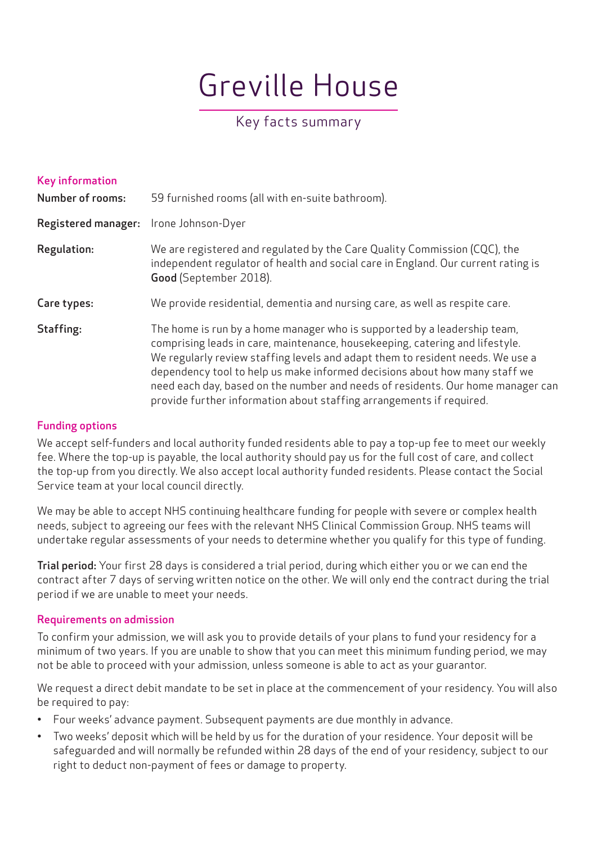# Greville House

## Key facts summary

| Key information<br><b>Number of rooms:</b> | 59 furnished rooms (all with en-suite bathroom).                                                                                                                                                                                                                                                                                                                                                                                                                                    |
|--------------------------------------------|-------------------------------------------------------------------------------------------------------------------------------------------------------------------------------------------------------------------------------------------------------------------------------------------------------------------------------------------------------------------------------------------------------------------------------------------------------------------------------------|
| <b>Registered manager:</b>                 | Irone Johnson-Dyer                                                                                                                                                                                                                                                                                                                                                                                                                                                                  |
| <b>Regulation:</b>                         | We are registered and regulated by the Care Quality Commission (CQC), the<br>independent regulator of health and social care in England. Our current rating is<br>Good (September 2018).                                                                                                                                                                                                                                                                                            |
| Care types:                                | We provide residential, dementia and nursing care, as well as respite care.                                                                                                                                                                                                                                                                                                                                                                                                         |
| Staffing:                                  | The home is run by a home manager who is supported by a leadership team,<br>comprising leads in care, maintenance, housekeeping, catering and lifestyle.<br>We regularly review staffing levels and adapt them to resident needs. We use a<br>dependency tool to help us make informed decisions about how many staff we<br>need each day, based on the number and needs of residents. Our home manager can<br>provide further information about staffing arrangements if required. |

#### Funding options

We accept self-funders and local authority funded residents able to pay a top-up fee to meet our weekly fee. Where the top-up is payable, the local authority should pay us for the full cost of care, and collect the top-up from you directly. We also accept local authority funded residents. Please contact the Social Service team at your local council directly.

We may be able to accept NHS continuing healthcare funding for people with severe or complex health needs, subject to agreeing our fees with the relevant NHS Clinical Commission Group. NHS teams will undertake regular assessments of your needs to determine whether you qualify for this type of funding.

Trial period: Your first 28 days is considered a trial period, during which either you or we can end the contract after 7 days of serving written notice on the other. We will only end the contract during the trial period if we are unable to meet your needs.

#### Requirements on admission

To confirm your admission, we will ask you to provide details of your plans to fund your residency for a minimum of two years. If you are unable to show that you can meet this minimum funding period, we may not be able to proceed with your admission, unless someone is able to act as your guarantor.

We request a direct debit mandate to be set in place at the commencement of your residency. You will also be required to pay:

- Four weeks' advance payment. Subsequent payments are due monthly in advance.
- Two weeks' deposit which will be held by us for the duration of your residence. Your deposit will be safeguarded and will normally be refunded within 28 days of the end of your residency, subject to our right to deduct non-payment of fees or damage to property.